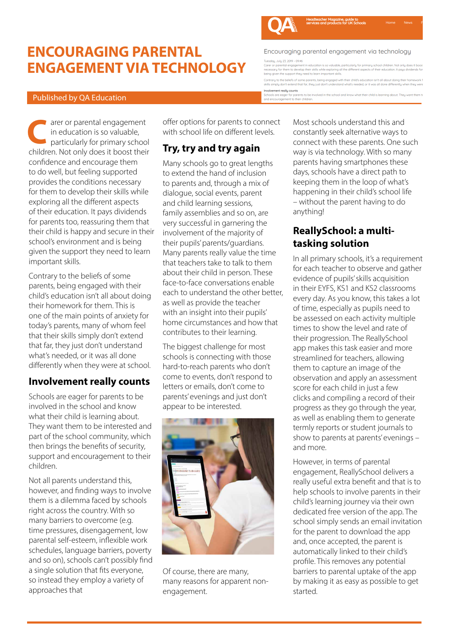# **ENCOURAGING PARENTAL ENGAGEMENT VIA TECHNOLOGY**



**C**

important skills.

children.

approaches that

Contrary to the beliefs of some parents, being engaged with their child's education isn't all about doing their homework for them. This is one of the main points of anxiety for today's parents, many of whom feel that their skills simply don't extend that far, they just don't understand what's needed, or it was all done differently when they were at school.

**Involvement really counts** Schools are eager for parents to be involved in the school and know what their child is learning about. They want them to be interested and part of the school community, which then brings the benefits of security, support and encouragement to their

Not all parents understand this, however, and finding ways to involve them is a dilemma faced by schools right across the country. With so many barriers to overcome (e.g. time pressures, disengagement, low parental self-esteem, inflexible work schedules, language barriers, poverty and so on), schools can't possibly find a single solution that fits everyone, so instead they employ a variety of

arer or parental engagement in education is so valuable, particularly for primary school

children. Not only does it boost their confidence and encourage them to do well, but feeling supported provides the conditions necessary for them to develop their skills while exploring all the different aspects of their education. It pays dividends for parents too, reassuring them that their child is happy and secure in their school's environment and is being given the support they need to learn

offer options for parents to connect with school life on different levels.

## **Try, try and try again**

Many schools go to great lengths to extend the hand of inclusion to parents and, through a mix of dialogue, social events, parent and child learning sessions, family assemblies and so on, are very successful in garnering the involvement of the majority of their pupils' parents/guardians. Many parents really value the time that teachers take to talk to them about their child in person. These face-to-face conversations enable each to understand the other better, as well as provide the teacher with an insight into their pupils' home circumstances and how that contributes to their learning.

The biggest challenge for most schools is connecting with those hard-to-reach parents who don't come to events, don't respond to letters or emails, don't come to parents' evenings and just don't appear to be interested.



Of course, there are many, many reasons for apparent nonengagement.

Most schools understand this and constantly seek alternative ways to connect with these parents. One such way is via technology. With so many parents having smartphones these days, schools have a direct path to keeping them in the loop of what's happening in their child's school life – without the parent having to do anything!

### **ReallySchool: a multitasking solution**

In all primary schools, it's a requirement for each teacher to observe and gather evidence of pupils' skills acquisition in their EYFS, KS1 and KS2 classrooms every day. As you know, this takes a lot of time, especially as pupils need to be assessed on each activity multiple times to show the level and rate of their progression. The ReallySchool app makes this task easier and more streamlined for teachers, allowing them to capture an image of the observation and apply an assessment score for each child in just a few clicks and compiling a record of their progress as they go through the year, as well as enabling them to generate termly reports or student journals to show to parents at parents' evenings – and more.

However, in terms of parental engagement, ReallySchool delivers a really useful extra benefit and that is to help schools to involve parents in their child's learning journey via their own dedicated free version of the app. The school simply sends an email invitation for the parent to download the app and, once accepted, the parent is automatically linked to their child's profile. This removes any potential barriers to parental uptake of the app by making it as easy as possible to get started.

Encouraging parental engagement via technology Tuesdau, Julu 23, 2019 - 09:46

eadteacher Magazine, guide to<br>ervices and products for UK Schools

.<br>Int in education is so valuable, particularly for primary school children. Not only doe:<br>op their skills while exploring all the different aspects of their education. It pays divid mpareman engagement in cabecution is so.<br>any for them to develop their skills while ex g tor them to develop their skins while exploring a<br>ien the support their need to learn important skills

Contraru to the beliefs of some parents, being engaged with their child's education isn't all about doing their he skills simply don't extend that for they just don't understand what's needed, or it was all done differently when they were Involvement really counts

Schools are eager for parents to<br>and encouragement to their chil ,<br>rents to be involved in the school and know what their child is learning about. They want them t